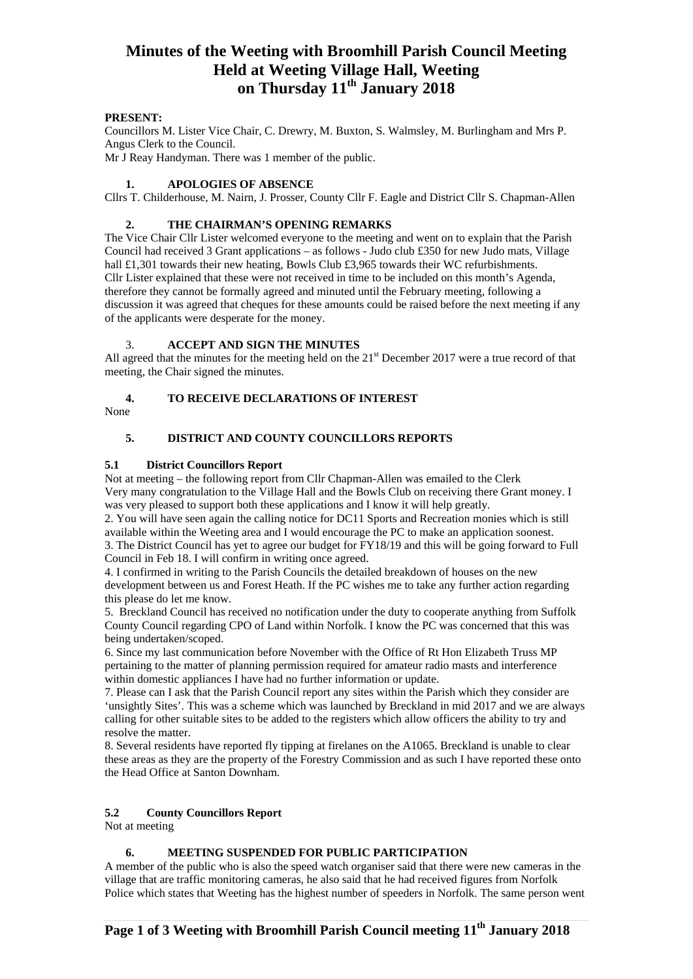# **Minutes of the Weeting with Broomhill Parish Council Meeting Held at Weeting Village Hall, Weeting on Thursday 11th January 2018**

# **PRESENT:**

Councillors M. Lister Vice Chair, C. Drewry, M. Buxton, S. Walmsley, M. Burlingham and Mrs P. Angus Clerk to the Council.

Mr J Reay Handyman. There was 1 member of the public.

# **1. APOLOGIES OF ABSENCE**

Cllrs T. Childerhouse, M. Nairn, J. Prosser, County Cllr F. Eagle and District Cllr S. Chapman-Allen

# **2. THE CHAIRMAN'S OPENING REMARKS**

The Vice Chair Cllr Lister welcomed everyone to the meeting and went on to explain that the Parish Council had received 3 Grant applications – as follows - Judo club £350 for new Judo mats, Village hall £1,301 towards their new heating, Bowls Club £3,965 towards their WC refurbishments. Cllr Lister explained that these were not received in time to be included on this month's Agenda, therefore they cannot be formally agreed and minuted until the February meeting, following a discussion it was agreed that cheques for these amounts could be raised before the next meeting if any of the applicants were desperate for the money.

# 3. **ACCEPT AND SIGN THE MINUTES**

All agreed that the minutes for the meeting held on the 21<sup>st</sup> December 2017 were a true record of that meeting, the Chair signed the minutes.

# **4. TO RECEIVE DECLARATIONS OF INTEREST**

None

# **5. DISTRICT AND COUNTY COUNCILLORS REPORTS**

# **5.1 District Councillors Report**

Not at meeting – the following report from Cllr Chapman-Allen was emailed to the Clerk Very many congratulation to the Village Hall and the Bowls Club on receiving there Grant money. I was very pleased to support both these applications and I know it will help greatly.

2. You will have seen again the calling notice for DC11 Sports and Recreation monies which is still available within the Weeting area and I would encourage the PC to make an application soonest. 3. The District Council has yet to agree our budget for FY18/19 and this will be going forward to Full Council in Feb 18. I will confirm in writing once agreed.

4. I confirmed in writing to the Parish Councils the detailed breakdown of houses on the new development between us and Forest Heath. If the PC wishes me to take any further action regarding this please do let me know.

5. Breckland Council has received no notification under the duty to cooperate anything from Suffolk County Council regarding CPO of Land within Norfolk. I know the PC was concerned that this was being undertaken/scoped.

6. Since my last communication before November with the Office of Rt Hon Elizabeth Truss MP pertaining to the matter of planning permission required for amateur radio masts and interference within domestic appliances I have had no further information or update.

7. Please can I ask that the Parish Council report any sites within the Parish which they consider are 'unsightly Sites'. This was a scheme which was launched by Breckland in mid 2017 and we are always calling for other suitable sites to be added to the registers which allow officers the ability to try and resolve the matter.

8. Several residents have reported fly tipping at firelanes on the A1065. Breckland is unable to clear these areas as they are the property of the Forestry Commission and as such I have reported these onto the Head Office at Santon Downham.

# **5.2 County Councillors Report**

Not at meeting

## **6. MEETING SUSPENDED FOR PUBLIC PARTICIPATION**

A member of the public who is also the speed watch organiser said that there were new cameras in the village that are traffic monitoring cameras, he also said that he had received figures from Norfolk Police which states that Weeting has the highest number of speeders in Norfolk. The same person went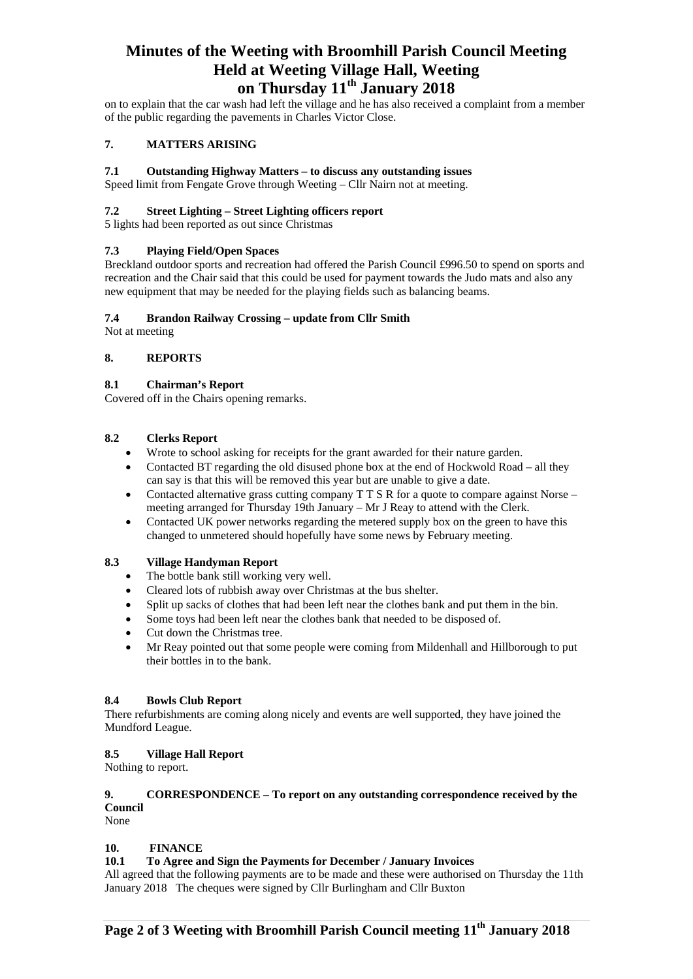# **Minutes of the Weeting with Broomhill Parish Council Meeting Held at Weeting Village Hall, Weeting on Thursday 11th January 2018**

on to explain that the car wash had left the village and he has also received a complaint from a member of the public regarding the pavements in Charles Victor Close.

# **7. MATTERS ARISING**

# **7.1 Outstanding Highway Matters – to discuss any outstanding issues**

Speed limit from Fengate Grove through Weeting – Cllr Nairn not at meeting.

#### **7.2 Street Lighting – Street Lighting officers report**

5 lights had been reported as out since Christmas

## **7.3 Playing Field/Open Spaces**

Breckland outdoor sports and recreation had offered the Parish Council £996.50 to spend on sports and recreation and the Chair said that this could be used for payment towards the Judo mats and also any new equipment that may be needed for the playing fields such as balancing beams.

#### **7.4 Brandon Railway Crossing – update from Cllr Smith**

Not at meeting

## **8. REPORTS**

#### **8.1 Chairman's Report**

Covered off in the Chairs opening remarks.

## **8.2 Clerks Report**

- Wrote to school asking for receipts for the grant awarded for their nature garden.
- Contacted BT regarding the old disused phone box at the end of Hockwold Road all they can say is that this will be removed this year but are unable to give a date.
- Contacted alternative grass cutting company T T S R for a quote to compare against Norse meeting arranged for Thursday 19th January – Mr J Reay to attend with the Clerk.
- Contacted UK power networks regarding the metered supply box on the green to have this changed to unmetered should hopefully have some news by February meeting.

# **8.3 Village Handyman Report**

- The bottle bank still working very well.
- Cleared lots of rubbish away over Christmas at the bus shelter.
- Split up sacks of clothes that had been left near the clothes bank and put them in the bin.
- Some toys had been left near the clothes bank that needed to be disposed of.
- Cut down the Christmas tree.
- Mr Reay pointed out that some people were coming from Mildenhall and Hillborough to put their bottles in to the bank.

## **8.4 Bowls Club Report**

There refurbishments are coming along nicely and events are well supported, they have joined the Mundford League.

## **8.5 Village Hall Report**

Nothing to report.

# **9. CORRESPONDENCE – To report on any outstanding correspondence received by the Council**

None

## **10. FINANCE**

## **10.1 To Agree and Sign the Payments for December / January Invoices**

All agreed that the following payments are to be made and these were authorised on Thursday the 11th January 2018 The cheques were signed by Cllr Burlingham and Cllr Buxton